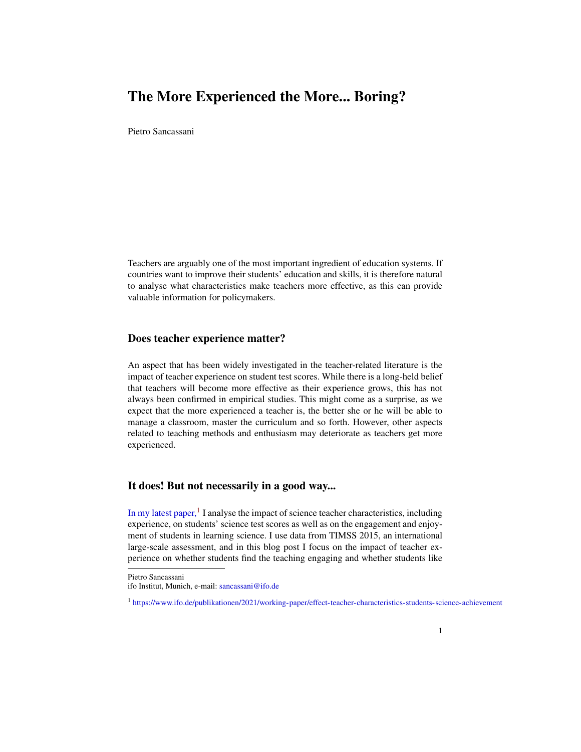# The More Experienced the More... Boring?

Pietro Sancassani

Teachers are arguably one of the most important ingredient of education systems. If countries want to improve their students' education and skills, it is therefore natural to analyse what characteristics make teachers more effective, as this can provide valuable information for policymakers.

#### Does teacher experience matter?

An aspect that has been widely investigated in the teacher-related literature is the impact of teacher experience on student test scores. While there is a long-held belief that teachers will become more effective as their experience grows, this has not always been confirmed in empirical studies. This might come as a surprise, as we expect that the more experienced a teacher is, the better she or he will be able to manage a classroom, master the curriculum and so forth. However, other aspects related to teaching methods and enthusiasm may deteriorate as teachers get more experienced.

### It does! But not necessarily in a good way...

[In my latest paper,](https://www.ifo.de/publikationen/2021/working-paper/effect-teacher-characteristics-students-science-achievement)<sup>[1](#page-0-0)</sup> I analyse the impact of science teacher characteristics, including experience, on students' science test scores as well as on the engagement and enjoyment of students in learning science. I use data from TIMSS 2015, an international large-scale assessment, and in this blog post I focus on the impact of teacher experience on whether students find the teaching engaging and whether students like

Pietro Sancassani

ifo Institut, Munich, e-mail: <sancassani@ifo.de>

<span id="page-0-0"></span><sup>1</sup> <https://www.ifo.de/publikationen/2021/working-paper/effect-teacher-characteristics-students-science-achievement>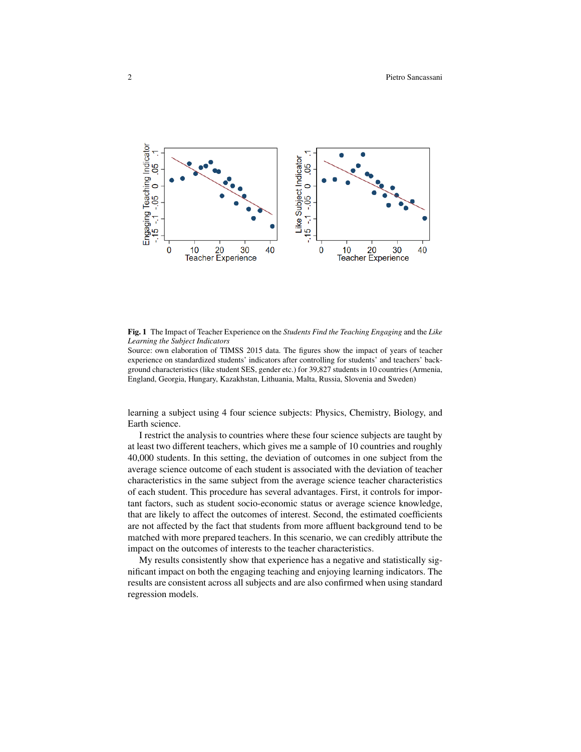

Fig. 1 The Impact of Teacher Experience on the *Students Find the Teaching Engaging* and the *Like Learning the Subject Indicators*

Source: own elaboration of TIMSS 2015 data. The figures show the impact of years of teacher experience on standardized students' indicators after controlling for students' and teachers' background characteristics (like student SES, gender etc.) for 39,827 students in 10 countries (Armenia, England, Georgia, Hungary, Kazakhstan, Lithuania, Malta, Russia, Slovenia and Sweden)

learning a subject using 4 four science subjects: Physics, Chemistry, Biology, and Earth science.

I restrict the analysis to countries where these four science subjects are taught by at least two different teachers, which gives me a sample of 10 countries and roughly 40,000 students. In this setting, the deviation of outcomes in one subject from the average science outcome of each student is associated with the deviation of teacher characteristics in the same subject from the average science teacher characteristics of each student. This procedure has several advantages. First, it controls for important factors, such as student socio-economic status or average science knowledge, that are likely to affect the outcomes of interest. Second, the estimated coefficients are not affected by the fact that students from more affluent background tend to be matched with more prepared teachers. In this scenario, we can credibly attribute the impact on the outcomes of interests to the teacher characteristics.

My results consistently show that experience has a negative and statistically significant impact on both the engaging teaching and enjoying learning indicators. The results are consistent across all subjects and are also confirmed when using standard regression models.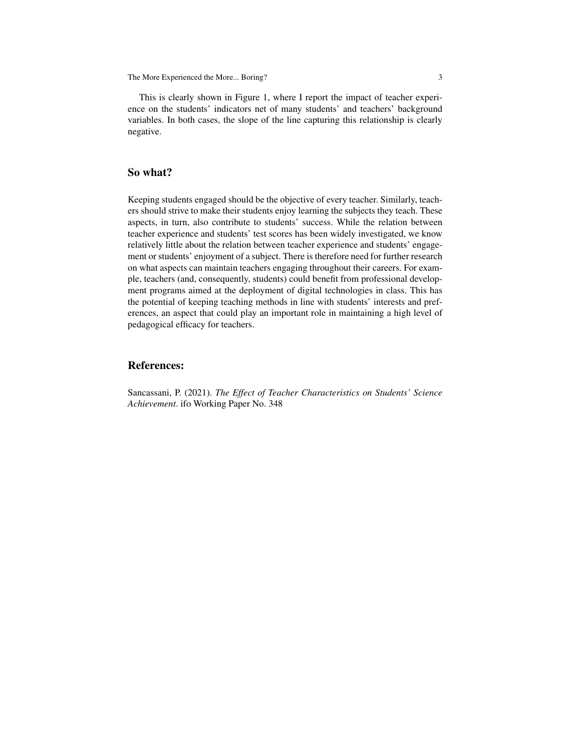The More Experienced the More... Boring? 3

This is clearly shown in Figure 1, where I report the impact of teacher experience on the students' indicators net of many students' and teachers' background variables. In both cases, the slope of the line capturing this relationship is clearly negative.

## So what?

Keeping students engaged should be the objective of every teacher. Similarly, teachers should strive to make their students enjoy learning the subjects they teach. These aspects, in turn, also contribute to students' success. While the relation between teacher experience and students' test scores has been widely investigated, we know relatively little about the relation between teacher experience and students' engagement or students' enjoyment of a subject. There is therefore need for further research on what aspects can maintain teachers engaging throughout their careers. For example, teachers (and, consequently, students) could benefit from professional development programs aimed at the deployment of digital technologies in class. This has the potential of keeping teaching methods in line with students' interests and preferences, an aspect that could play an important role in maintaining a high level of pedagogical efficacy for teachers.

### References:

Sancassani, P. (2021). *The Effect of Teacher Characteristics on Students' Science Achievement*. ifo Working Paper No. 348